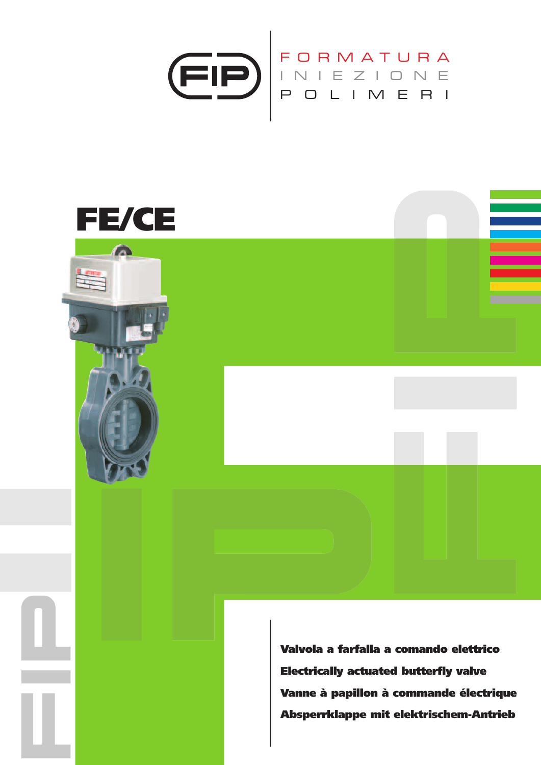





Valvola a farfalla a comando elettrico **Electrically actuated butterfly valve** Vanne à papillon à commande électrique Absperrklappe mit elektrischem-Antrieb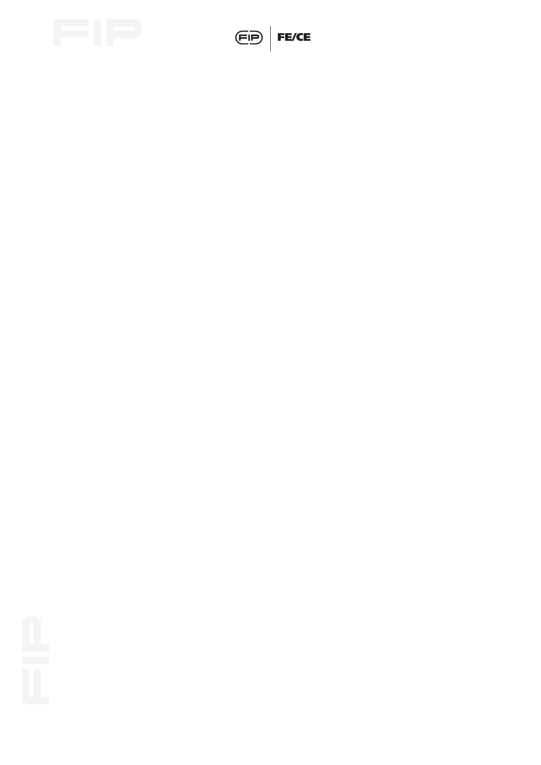

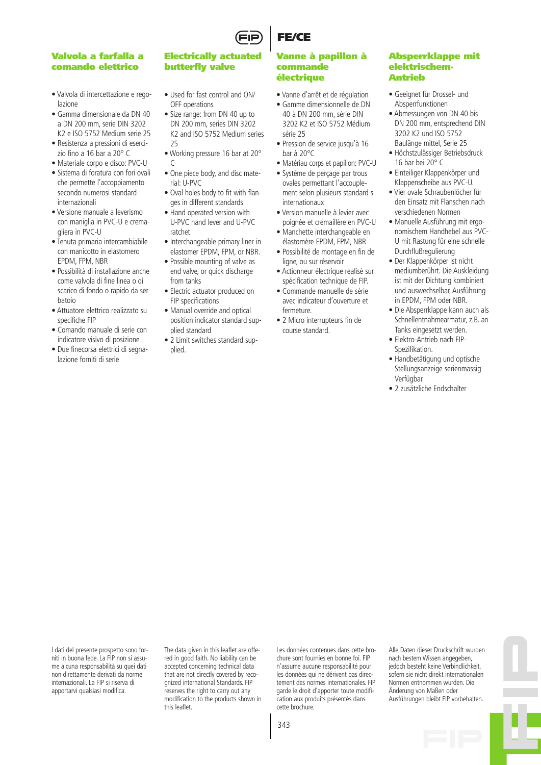## **Valvola a farfalla a comando elettrico**

- Valvola di intercettazione e regolazione
- Gamma dimensionale da DN 40 a DN 200 mm, serie DIN 3202 K2 e ISO 5752 Medium serie 25
- Resistenza a pressioni di esercizio fino a 16 bar a 20° C
- Materiale corpo e disco: PVC-U
- Sistema di foratura con fori ovali che permette l'accoppiamento secondo numerosi standard internazionali
- Versione manuale a leverismo con maniglia in PVC-U e cremagliera in PVC-U
- Tenuta primaria intercambiabile con manicotto in elastomero EPDM, FPM, NBR
- Possibilità di installazione anche come valvola di fine linea o di scarico di fondo o rapido da serbatoio
- Attuatore elettrico realizzato su specifiche FIP
- Comando manuale di serie con indicatore visivo di posizione
- Due finecorsa elettrici di segnalazione forniti di serie

## **Electrically actuated butterfly valve**

- Used for fast control and ON/ OFF operations
- Size range: from DN 40 up to DN 200 mm, series DIN 3202 K2 and ISO 5752 Medium series  $25$
- Working pressure 16 bar at 20° C
- One piece body, and disc material: U-PVC
- Oval holes body to fit with flanges in different standards
- Hand operated version with U-PVC hand lever and U-PVC ratchet
- Interchangeable primary liner in elastomer EPDM, FPM, or NBR.
- Possible mounting of valve as end valve, or quick discharge from tanks
- Electric actuator produced on FIP specifications
- Manual override and optical position indicator standard supplied standard
- 2 Limit switches standard supplied.

# **FE/CE**

### **Vanne à papillon à commande électrique**

- Vanne d'arrêt et de régulation
- Gamme dimensionnelle de DN 40 à DN 200 mm, série DIN 3202 K2 et ISO 5752 Médium série 25
- Pression de service jusqu'à 16 bar à 20°C
- Matériau corps et papillon: PVC-U
- Système de perçage par trous ovales permettant l'accouplement selon plusieurs standard s internationaux
- Version manuelle à levier avec poignée et crémaillère en PVC-U
- Manchette interchangeable en élastomère EPDM, FPM, NBR
- Possibilité de montage en fin de ligne, ou sur réservoir
- Actionneur électrique réalisé sur spécification technique de FIP.
- Commande manuelle de série avec indicateur d'ouverture et fermeture.
- 2 Micro interrupteurs fin de course standard.

#### **Absperrklappe mit elektrischem-Antrieb**

- Geeignet für Drossel- und Absperrfunktionen
- Abmessungen von DN 40 bis DN 200 mm, entsprechend DIN 3202 K2 und ISO 5752 Baulänge mittel, Serie 25
- Höchstzulässiger Betriebsdruck 16 bar bei 20° C
- Einteiliger Klappenkörper und Klappenscheibe aus PVC-U.
- Vier ovale Schraubenlöcher für den Einsatz mit Flanschen nach verschiedenen Normen
- Manuelle Ausführung mit ergonomischem Handhebel aus PVC-U mit Rastung für eine schnelle Durchflußregulierung
- Der Klappenkörper ist nicht mediumberührt. Die Auskleidung ist mit der Dichtung kombiniert und auswechselbar, Ausführung in EPDM, FPM oder NBR.
- Die Absperrklappe kann auch als Schnellentnahmearmatur, z.B. an Tanks eingesetzt werden.
- Elektro-Antrieb nach FIP-Spezifikation.
- Handbetätigung und optische Stellungsanzeige serienmassig Verfügbar.
- 2 zusätzliche Endschalter

l dati del presente prospetto sono forniti in buona fede. La FIP non si assume alcuna responsabilità su quei dati non direttamente derivati da norme internazionali. La FIP si riserva di apportarvi qualsiasi modifica.

The data given in this leaflet are offered in good faith. No liability can be accepted concerning technical data that are not directly covered by recognized international Standards. FIP reserves the right to carry out any modification to the products shown in this leaflet.

Les données contenues dans cette brochure sont fournies en bonne foi. FIP n'assume aucune responsabilité pour les données qui ne dérivent pas directement des normes internationales. FIP garde le droit d'apporter toute modification aux produits présentés dans cette brochure.

343

Alle Daten dieser Druckschrift wurden nach bestem Wissen angegeben, jedoch besteht keine Verbindlichkeit, sofern sie nicht direkt internationalen Normen entnommen wurden. Die Änderung von Maßen oder Ausführungen bleibt FIP vorbehalten.

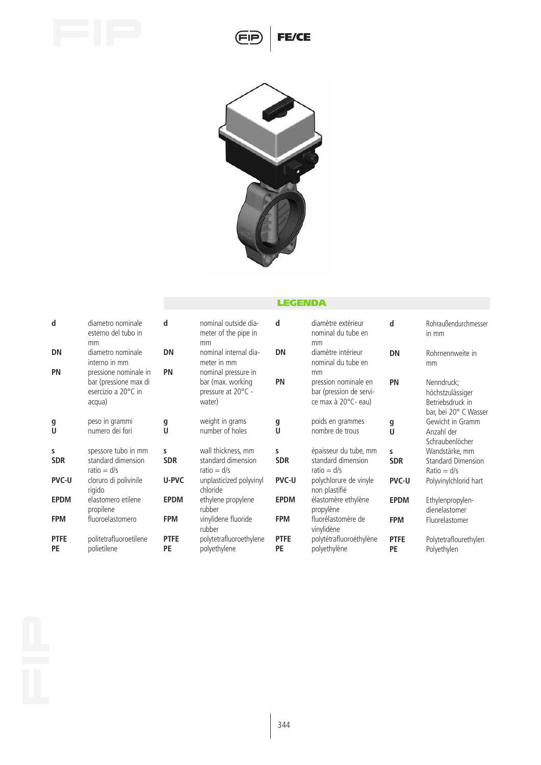





| d                        | diametro nominale<br>esterno del tubo in<br>mm         | d                 | nominal outside dia-<br>meter of the pipe in<br>mm | d                        | diamètre extérieur<br>nominal du tube en<br>mm                         | d                        | Rohraußendurchmesser<br>in mm                                               |
|--------------------------|--------------------------------------------------------|-------------------|----------------------------------------------------|--------------------------|------------------------------------------------------------------------|--------------------------|-----------------------------------------------------------------------------|
| <b>DN</b>                | diametro nominale<br>interno in mm                     | DN                | nominal internal dia-<br>meter in mm               | <b>DN</b>                | diamètre intérieur<br>nominal du tube en                               | DN                       | Rohrnennweite in<br>mm                                                      |
| PN                       | pressione nominale in                                  | PN                | nominal pressure in                                |                          | mm                                                                     |                          |                                                                             |
|                          | bar (pressione max di<br>esercizio a 20°C in<br>acqua) |                   | bar (max. working<br>pressure at 20°C -<br>water)  | PN                       | pression nominale en<br>bar (pression de servi-<br>ce max à 20°C- eau) | <b>PN</b>                | Nenndruck;<br>höchstzulässiger<br>Betriebsdruck in<br>bar, bei 20° C Wasser |
| g<br>U                   | peso in grammi<br>numero dei fori                      | g<br>U            | weight in grams<br>number of holes                 | g<br>U                   | poids en grammes<br>nombre de trous                                    | g<br>U                   | Gewicht in Gramm<br>Anzahl der<br>Schraubenlöcher                           |
| S                        | spessore tubo in mm                                    | s                 | wall thickness, mm                                 | s                        | épaisseur du tube, mm                                                  | s.                       | Wandstärke, mm                                                              |
| <b>SDR</b>               | standard dimension<br>ratio = $d/s$                    | <b>SDR</b>        | standard dimension<br>ratio = $d/s$                | <b>SDR</b>               | standard dimension<br>ratio = $d/s$                                    | <b>SDR</b>               | <b>Standard Dimension</b><br>$Ratio = d/s$                                  |
| <b>PVC-U</b>             | cloruro di polivinile<br>rigido                        | <b>U-PVC</b>      | unplasticized polyvinyl<br>chloride                | <b>PVC-U</b>             | polychlorure de vinyle<br>non plastifié                                | <b>PVC-U</b>             | Polyvinylchlorid hart                                                       |
| <b>EPDM</b>              | elastomero etilene<br>propilene                        | <b>EPDM</b>       | ethylene propylene<br>rubber                       | <b>EPDM</b>              | élastomère ethylène<br>propylène                                       | <b>EPDM</b>              | Ethylenpropylen-<br>dienelastomer                                           |
| <b>FPM</b>               | fluoroelastomero                                       | <b>FPM</b>        | vinylidene fluoride<br>rubber                      | <b>FPM</b>               | fluorélastomère de<br>vinylidène                                       | <b>FPM</b>               | Fluorelastomer                                                              |
| <b>PTFE</b><br><b>PE</b> | politetrafluoroetilene<br>polietilene                  | <b>PTFE</b><br>PE | polytetrafluoroethylene<br>polyethylene            | <b>PTFE</b><br><b>PE</b> | polytétrafluoroéthylène<br>polyethylène                                | <b>PTFE</b><br><b>PE</b> | Polytetraflourethylen<br>Polyethylen                                        |

**LEGENDA**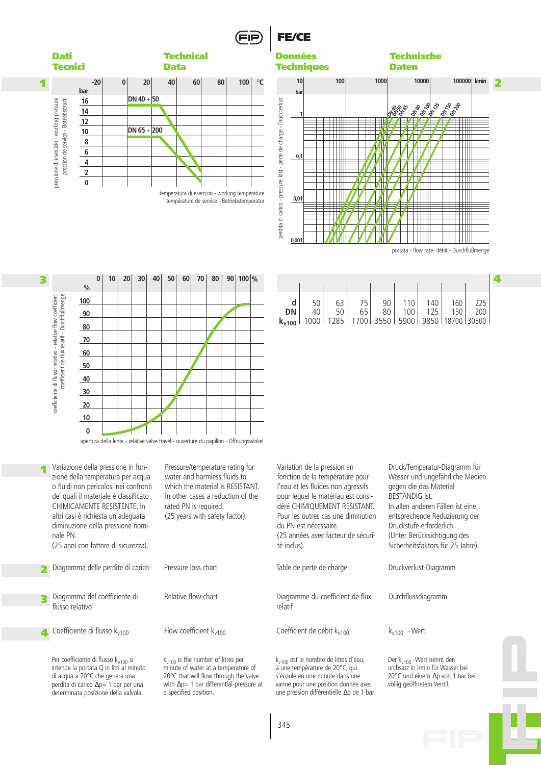



**Données Techniques**

## **Technische Daten**



portata - flow rate- débit - Durchflußmenge

**4**

| DN         |      | 65 | 90<br>80 | 110<br>1001 | 140<br>125 | 160<br>150 <sub>1</sub> | 200                                              |  |
|------------|------|----|----------|-------------|------------|-------------------------|--------------------------------------------------|--|
| $K_{v100}$ | 1000 |    |          |             |            |                         | 1285   1700   3550   5900   9850   18700   30500 |  |



**-20 0 20 40 60 100 80** °**C**

**Technical Data**

temperatura di esercizio - working temperature température de service - Betriebstemperatur

**DN 40** ÷ **50**

**DN 65** ÷ **200**

**1** Variazione della pressione in funzione della temperatura per acqua o fluidi non pericolosi nei confronti dei quali il materiale è classificato CHIMICAMENTE RESISTENTE. In altri casi è richiesta un'adeguata diminuzione della pressione nominale PN. (25 anni con fattore di sicurezza).

**1**

pressione di esercizio - working pressure pression de service - Betriebsdruck

pressione di esercizio - working pressure pression de service - Betriebsdruck

**Dati Tecnici**

> Pressure/temperature rating for water and harmless fluids to which the material is RESISTANT. In other cases a reduction of the rated PN is required. (25 years with safety factor).

**3** Diagramma del coefficiente di

Per coefficiente di flusso k<sub>v100</sub> si<br>intende la portata Q in litri al minuto di acqua a 20°C che genera una perdita di carico ∆p= 1 bar per una determinata posizione della valvola.

flusso relativo

 $k_{v100}$  is the number of litres per minute of water at a temperature of 20°C that will flow through the valve with Δp= 1 bar differential-pressure at a specified position.

Variation de la pression en fonction de la température pour l'eau et les fluides non agressifs pour lequel le matériau est considéré CHIMIQUEMENT RESISTANT. Pour les outres cas une diminution du PN est nécessaire. (25 années avec facteur de sécurité inclus). **2** Diagramma delle perdite di carico Pressure loss chart Table de perte de charge Druckverlust-Diagramm

> Relative flow chart **Diagramme du coefficient de flux** relatif

Coefficiente di flusso k<sub>v100</sub> Flow coefficient k<sub>v100</sub> Coefficient de débit k<sub>v100</sub> k<sub>v100</sub> –Wert

k<sub>v100</sub> est le nombre de litres d'eau, à une température de 20°C, qui s'écoule en une minute dans une vanne pour une position donnée avec une pression différentielle ∆p de 1 bar.

Druck/Temperatur-Diagramm für Wasser und ungefährliche Medien gegen die das Material BESTÄNDIG ist. In allen anderen Fällen ist eine entsprechende Reduzierung der Druckstufe erforderlich. (Unter Berücksichtigung des Sicherheitsfaktors für 25 Jahre).

Durchflussdiagramm

Der k<sub>v100</sub> -Wert nennt den<br>urchsatz in I/min für Wasser bei 20°C und einem ∆p von 1 bar bei völlig geöffnetem Ventil.

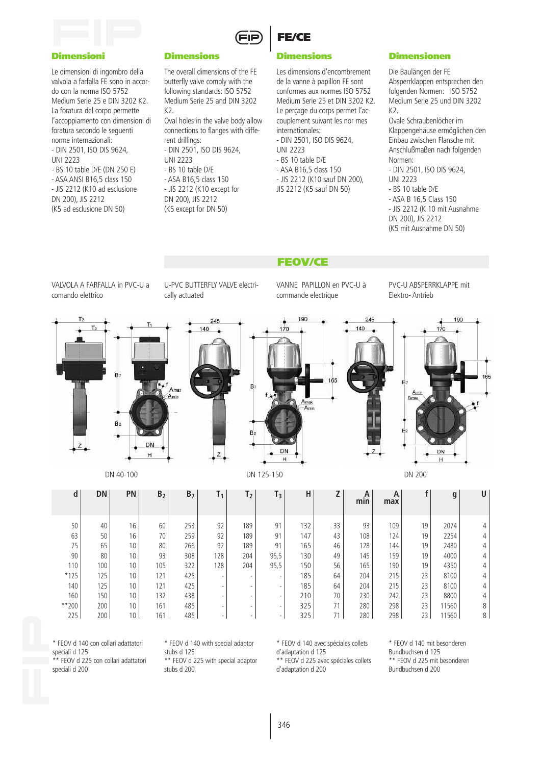

Le dimensioni di ingombro della valvola a farfalla FE sono in accordo con la norma ISO 5752 Medium Serie 25 e DIN 3202 K2. La foratura del corpo permette l'accoppiamento con dimensioni di foratura secondo le seguenti norme internazionali:

- DIN 2501, ISO DIS 9624, UNI 2223
- BS 10 table D/E (DN 250 E)
- ASA ANSI B16,5 class 150
- JIS 2212 (K10 ad esclusione
- DN 200), JIS 2212
- (K5 ad esclusione DN 50)

#### **Dimensioni Dimensions Dimensions Dimensionen**

The overall dimensions of the FE butterfly valve comply with the following standards: ISO 5752 Medium Serie 25 and DIN 3202 K2.

Oval holes in the valve body allow connections to flanges with different drillings: - DIN 2501, ISO DIS 9624, UNI 2223 - BS 10 table D/E

- ASA B16,5 class 150 - JIS 2212 (K10 except for
- DN 200), JIS 2212 (K5 except for DN 50)

# **FE/CE**

Les dimensions d'encombrement de la vanne à papillon FE sont conformes aux normes ISO 5752 Medium Serie 25 et DIN 3202 K2. Le perçage du corps permet l'accouplement suivant les nor mes internationales: - DIN 2501, ISO DIS 9624, UNI 2223 - BS 10 table D/E

- ASA B16,5 class 150 - JIS 2212 (K10 sauf DN 200),

JIS 2212 (K5 sauf DN 50)

Die Baulängen der FE Absperrklappen entsprechen den folgenden Normen: ISO 5752 Medium Serie 25 und DIN 3202  $K<sub>2</sub>$ 

Ovale Schraubenlöcher im Klappengehäuse ermöglichen den Einbau zwischen Flansche mit Anschlußmaßen nach folgenden Normen:

- DIN 2501, ISO DIS 9624,

- UNI 2223
- BS 10 table D/E

- ASA B 16,5 Class 150 - JIS 2212 (K 10 mit Ausnahme DN 200), JIS 2212 (K5 mit Ausnahme DN 50)

#### VALVOLA A FARFALLA in PVC-U a comando elettrico

U-PVC BUTTERFLY VALVE electrically actuated

#### VANNE PAPILLON en PVC-U à commande electrique

140

**FEOV/CE**

PVC-U ABSPERRKLAPPE mit Elektro- Antrieb





DN

DN

Amir

| d       | <b>DN</b> | PN | B <sub>2</sub> | B <sub>7</sub> | $T_1$                    | T <sub>2</sub> | $T_3$                    | H   | Z  | A.  | $\overline{A}$ |    | $\boldsymbol{g}$ | U |
|---------|-----------|----|----------------|----------------|--------------------------|----------------|--------------------------|-----|----|-----|----------------|----|------------------|---|
|         |           |    |                |                |                          |                |                          |     |    | min | max            |    |                  |   |
| 50      | 40        | 16 | 60             | 253            | 92                       | 189            | 91                       | 132 | 33 | 93  | 109            | 19 | 2074             | 4 |
| 63      | 50        | 16 | 70             | 259            | 92                       | 189            | 91                       | 147 | 43 | 108 | 124            | 19 | 2254             | 4 |
| 75      | 65        | 10 | 80             | 266            | 92                       | 189            | 91                       | 165 | 46 | 128 | 144            | 19 | 2480             | 4 |
| 90      | 80        | 10 | 93             | 308            | 128                      | 204            | 95,5                     | 130 | 49 | 145 | 159            | 19 | 4000             | 4 |
| 110     | 100       | 10 | 105            | 322            | 128                      | 204            | 95,5                     | 150 | 56 | 165 | 190            | 19 | 4350             | 4 |
| $*125$  | 125       | 10 | 121            | 425            | $\overline{\phantom{a}}$ |                | $\overline{\phantom{a}}$ | 185 | 64 | 204 | 215            | 23 | 8100             | 4 |
| 140     | 125       | 10 | 121            | 425            | $\overline{\phantom{a}}$ |                | $\overline{\phantom{a}}$ | 185 | 64 | 204 | 215            | 23 | 8100             | 4 |
| 160     | 150       | 10 | 132            | 438            | $\overline{\phantom{a}}$ |                | $\overline{\phantom{a}}$ | 210 | 70 | 230 | 242            | 23 | 8800             | 4 |
| $**200$ | 200       | 10 | 161            | 485            | $\overline{\phantom{a}}$ |                | $\overline{\phantom{a}}$ | 325 | 71 | 280 | 298            | 23 | 11560            | 8 |
| 225     | 200       | 10 | 161            | 485            | $\overline{\phantom{a}}$ | $\sim$         | $\overline{\phantom{a}}$ | 325 | 71 | 280 | 298            | 23 | 1560             | 8 |

\* FEOV d 140 con collari adattatori speciali d 125 \*\* FEOV d 225 con collari adattatori speciali d 200

\* FEOV d 140 with special adaptor stubs d 125 \*\* FEOV d 225 with special adaptor stubs d 200

\* FEOV d 140 avec spéciales collets d'adaptation d 125

\*\* FEOV d 225 avec spéciales collets d'adaptation d 200

\* FEOV d 140 mit besonderen

Bundbuchsen d 125

\*\* FEOV d 225 mit besonderen Bundbuchsen d 200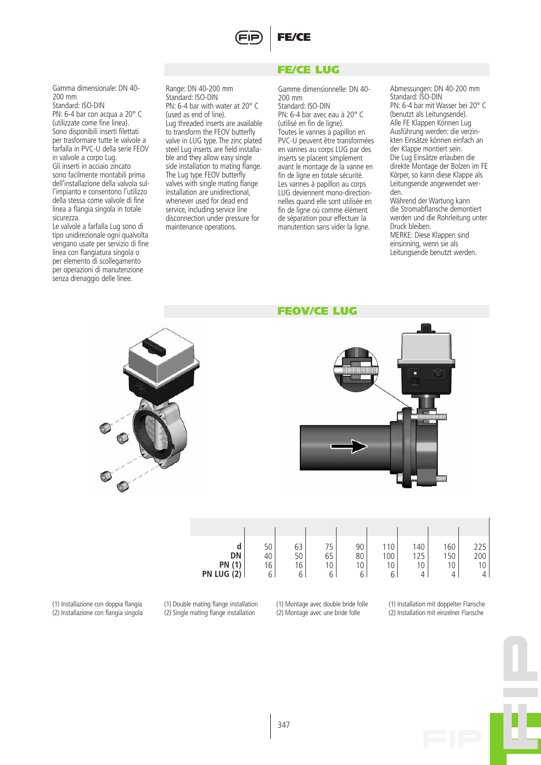



## **FE/CE LUG**

Gamma dimensionale: DN 40- 200 mm

Standard: ISO-DIN PN: 6-4 bar con acqua a 20° C (utilizzate come fine linea). Sono disponibili inserti filettati per trasformare tutte le valvole a farfalla in PVC-U della serie FEOV in valvole a corpo Lug. Gli inserti in acciaio zincato sono facilmente montabili prima dell'installazione della valvola sull'impianto e consentono l'utilizzo della stessa come valvole di fine linea a flangia singola in totale sicurezza.

Le valvole a farfalla Lug sono di tipo unidirezionale ogni qualvolta vengano usate per servizio di fine linea con flangiatura singola o per elemento di scollegamento per operazioni di manutenzione senza drenaggio delle linee.

Range: DN 40-200 mm Standard: ISO-DIN PN: 6-4 bar with water at 20° C (used as end of line). Lug threaded inserts are available to transform the FEOV butterfly valve in LUG type. The zinc plated steel Lug inserts are field installable and they allow easy single side installation to mating flange. The Lug type FEOV butterfly valves with single mating flange installation are unidirectional, whenever used for dead end service, including service line disconnection under pressure for maintenance operations.

Gamme dimensionnelle: DN 40- 200 mm Standard: ISO-DIN PN: 6-4 bar avec eau à 20° C (utilisé en fin de ligne). Toutes le vannes à papillon en PVC-U peuvent être transformées en vannes au corps LUG par des inserts se placent simplement avant le montage de la vanne en fin de ligne en totale sécurité. Les vannes à papillon au corps LUG deviennent mono-directionnelles quand elle sont utilisée en fin de ligne où comme élément de séparation pour effectuer la manutention sans vider la ligne.

Abmessungen: DN 40-200 mm Standard: ISO-DIN PN: 6-4 bar mit Wasser bei 20° C (benutzt als Leitungsende). Alle FE Klappen Können Lug Ausführung werden: die verzinkten Einsätze können einfach an der Klappe montiert sein. Die Lug Einsätze erlauben die direkte Montage der Bolzen im FE Körper, so kann diese Klappe als Leitungsende angewendet werden.

Während der Wartung kann die Stromabflansche demontiert werden und die Rohrleitung unter Druck bleiben. MERKE: Diese Klappen sind einsinning, wenn sie als Leitungsende benutzt werden.







| d                 | 50 | 63 | 75<br>ر | 90              | 110    | 140 | 160 | 225 |
|-------------------|----|----|---------|-----------------|--------|-----|-----|-----|
| DN                | 40 | 50 | 65      | 80              | 100    | 125 | 150 | 200 |
| <b>PN</b> (1)     | 16 | 16 | 10      | 10 <sub>1</sub> | 10     | 10  | 10  | 10  |
| <b>PN LUG (2)</b> | 6  | b  | ╭<br>h  | h               | ∼<br>b | Δ   | Δ   |     |

(1) Installazione con doppia flangia (2) Installazione con flangia singola (1) Double mating flange installation (2) Single mating flange installation

(1) Montage avec double bride folle (2) Montage avec une bride folle

(1) Installation mit doppelter Flansche (2) Installation mit einzelner Flansche

347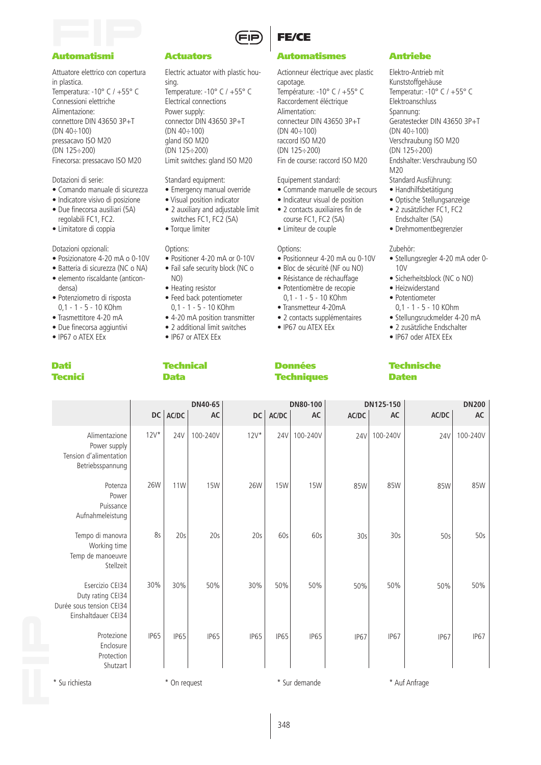

Attuatore elettrico con copertura in plastica. Temperatura: -10° C / +55° C Connessioni elettriche Alimentazione: connettore DIN 43650 3P+T (DN 40÷100) pressacavo ISO M20 (DN 125÷200) Finecorsa: pressacavo ISO M20

#### Dotazioni di serie:

- Comando manuale di sicurezza
- Indicatore visivo di posizione
- Due finecorsa ausiliari (5A) regolabili FC1, FC2.
- Limitatore di coppia

#### Dotazioni opzionali:

- Posizionatore 4-20 mA o 0-10V
- Batteria di sicurezza (NC o NA)
- elemento riscaldante (anticondensa)
- Potenziometro di risposta 0,1 - 1 - 5 - 10 KOhm
- Trasmettitore 4-20 mA
- Due finecorsa aggiuntivi
- IP67 o ATEX EEx

#### **Dati Tecnici**

Electric actuator with plastic housing. Temperature: -10° C / +55° C Electrical connections Power supply: connector DIN 43650 3P+T (DN 40÷100) gland ISO M20 (DN 125÷200) Limit switches: gland ISO M20

#### Standard equipment:

- Emergency manual override
- Visual position indicator
- 2 auxiliary and adjustable limit switches FC1, FC2 (5A)
- Torque limiter

#### Options:

- Positioner 4-20 mA or 0-10V • Fail safe security block (NC o
- NO)
- Heating resistor • Feed back potentiometer 0,1 - 1 - 5 - 10 KOhm
- 4-20 mA position transmitter
- 2 additional limit switches
- IP67 or ATEX EEx
- **Technical Data**

# **FE/CE**

#### **Automatismi Actuators Automatismes Antriebe**

Actionneur électrique avec plastic capotage. Température: -10° C / +55° C Raccordement éléctrique Alimentation: connecteur DIN 43650 3P+T (DN 40÷100) raccord ISO M20 (DN 125÷200) Fin de course: raccord ISO M20

Equipement standard:

- Commande manuelle de secours
- Indicateur visual de position
- 2 contacts auxiliaires fin de
- course FC1, FC2 (5A)
- Limiteur de couple

#### Options:

- Positionneur 4-20 mA ou 0-10V
- Bloc de sécurité (NF ou NO)
- Résistance de réchauffage
- Potentiomètre de recopie
- 0,1 1 5 10 KOhm
- Transmetteur 4-20mA
- 2 contacts supplémentaires
- IP67 ou ATEX EEx

## **Données Techniques**

Elektro-Antrieb mit Kunststoffgehäuse Temperatur: -10° C / +55° C Elektroanschluss Spannung: Geratestecker DIN 43650 3P+T (DN 40÷100) Verschraubung ISO M20 (DN 125÷200) Endshalter: Verschraubung ISO M20

- Standard Ausführung:
- Handhilfsbetätigung
- Optische Stellungsanzeige
- 2 zusätzlicher FC1, FC2 Endschalter (5A)
- Drehmomentbegrenzier

### Zubehör:

- Stellungsregler 4-20 mA oder 0- 10V
- Sicherheitsblock (NC o NO)
- Heizwiderstand
- Potentiometer
- 0,1 1 5 10 KOhm
- Stellungsruckmelder 4-20 mA
- 2 zusätzliche Endschalter
- IP67 oder ATEX EEx

## **Technische Daten**

|                                                                                         | DN40-65     |              |             | <b>DN80-100</b> |             |               |             | DN125-150   |               | <b>DN200</b> |  |
|-----------------------------------------------------------------------------------------|-------------|--------------|-------------|-----------------|-------------|---------------|-------------|-------------|---------------|--------------|--|
|                                                                                         | DC          | AC/DC        | <b>AC</b>   | <b>DC</b>       | AC/DC       | <b>AC</b>     | AC/DC       | <b>AC</b>   | AC/DC         | AC           |  |
| Alimentazione<br>Power supply<br>Tension d'alimentation<br>Betriebsspannung             | $12V^*$     | 24V          | 100-240V    | $12V^*$         | 24V         | 100-240V      | <b>24V</b>  | 100-240V    | 24V           | 100-240V     |  |
| Potenza<br>Power<br>Puissance<br>Aufnahmeleistung                                       | 26W         | <b>11W</b>   | <b>15W</b>  | 26W             | <b>15W</b>  | <b>15W</b>    | 85W         | 85W         | 85W           | 85W          |  |
| Tempo di manovra<br>Working time<br>Temp de manoeuvre<br>Stellzeit                      | <b>8s</b>   | 20s          | 20s         | 20s             | 60s         | 60s           | 30s         | 30s         | 50s           | 50s          |  |
| Esercizio CEI34<br>Duty rating CEI34<br>Durée sous tension CEI34<br>Einshaltdauer CEI34 | 30%         | 30%          | 50%         | 30%             | 50%         | 50%           | 50%         | 50%         | 50%           | 50%          |  |
| Protezione<br>Enclosure<br>Protection<br>Shutzart                                       | <b>IP65</b> | <b>IP65</b>  | <b>IP65</b> | <b>IP65</b>     | <b>IP65</b> | <b>IP65</b>   | <b>IP67</b> | <b>IP67</b> | <b>IP67</b>   | <b>IP67</b>  |  |
| * Su richiesta                                                                          |             | * On request |             |                 |             | * Sur demande |             |             | * Auf Anfrage |              |  |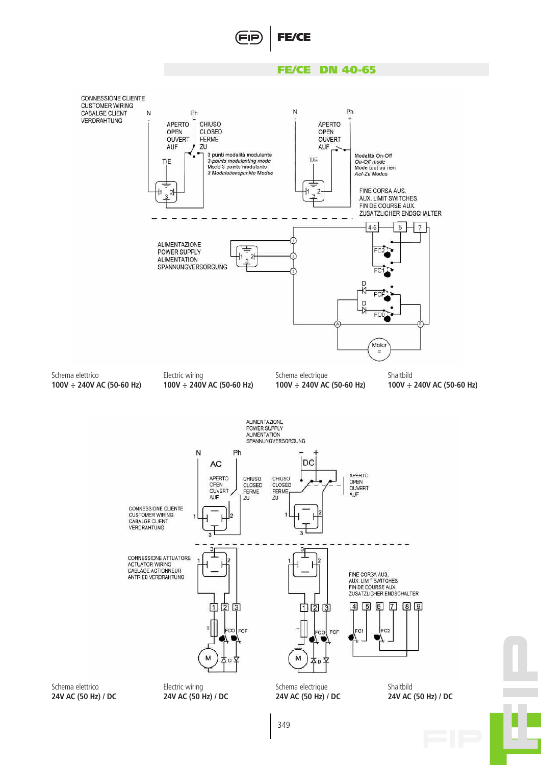



## **FE/CE DN 40-65**

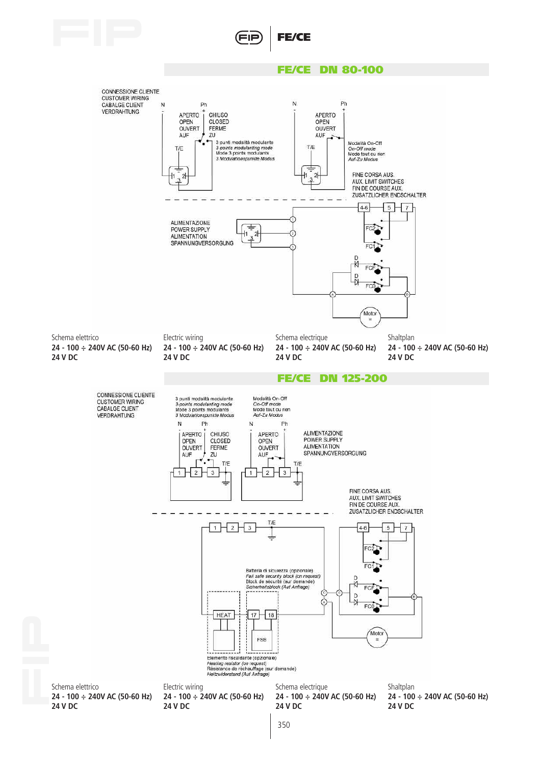



**24 V DC**

**FE/CE DN 125-200**

**24 V DC**

## **FE/CE DN 80-100**



**24 V DC**

**24 V DC**

3 punti modalità modulante

CONNESSIONE CLIENTE<br>CUSTOMER WIRING

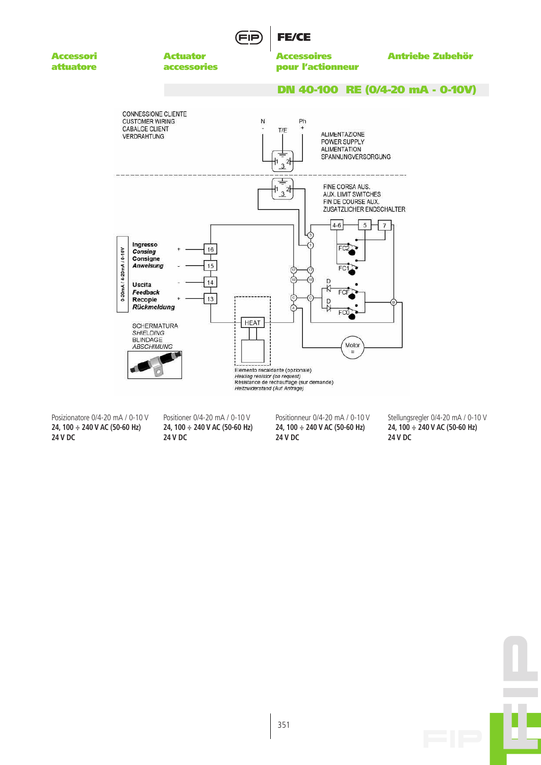

Posizionatore 0/4-20 mA / 0-10 V **24, 100 ÷ 240 V AC (50-60 Hz) 24 V DC**

Positioner 0/4-20 mA / 0-10 V **24, 100 ÷ 240 V AC (50-60 Hz) 24 V DC**

Positionneur 0/4-20 mA / 0-10 V **24, 100 ÷ 240 V AC (50-60 Hz) 24 V DC**

Stellungsregler 0/4-20 mA / 0-10 V **24, 100 ÷ 240 V AC (50-60 Hz) 24 V DC**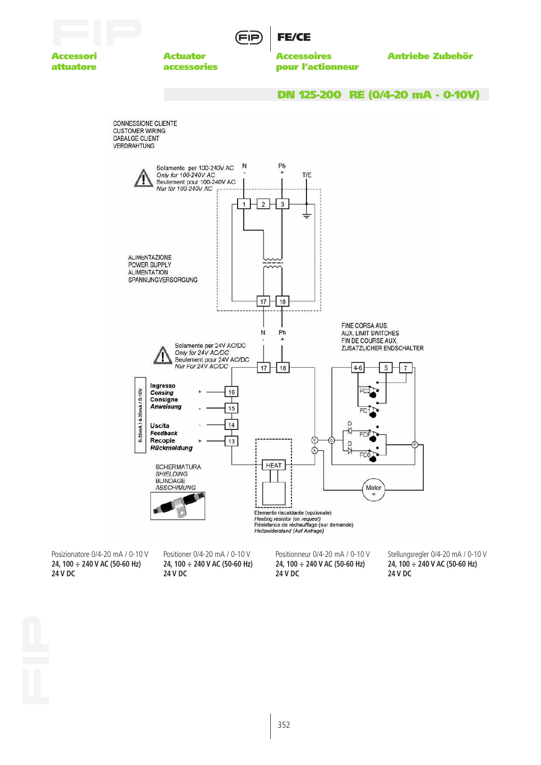

**24 V DC**

**24, 100 ÷ 240 V AC (50-60 Hz) 24 V DC**

**24, 100 ÷ 240 V AC (50-60 Hz) 24 V DC**

**24, 100 ÷ 240 V AC (50-60 Hz) 24 V DC**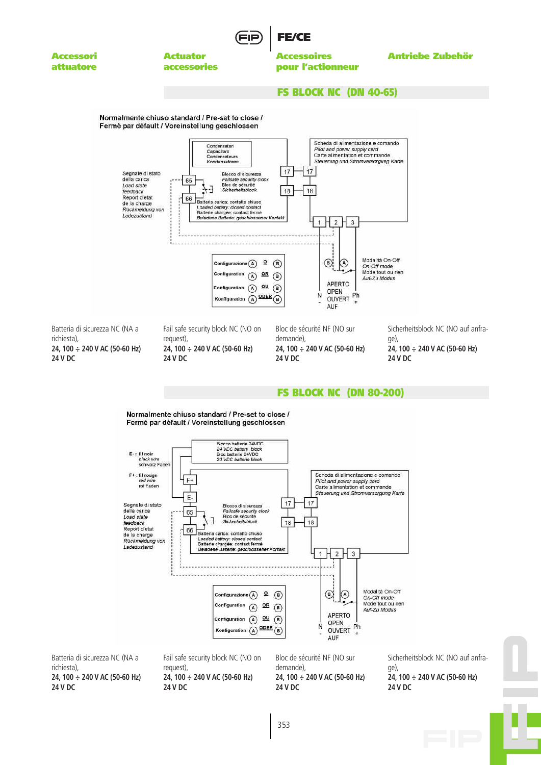



richiesta), **24, 100 ÷ 240 V AC (50-60 Hz) 24 V DC**

request), **24, 100 ÷ 240 V AC (50-60 Hz) 24 V DC**

demande), **24, 100 ÷ 240 V AC (50-60 Hz) 24 V DC**

Sicherheitsblock NC (NO auf anfrage), **24, 100 ÷ 240 V AC (50-60 Hz) 24 V DC**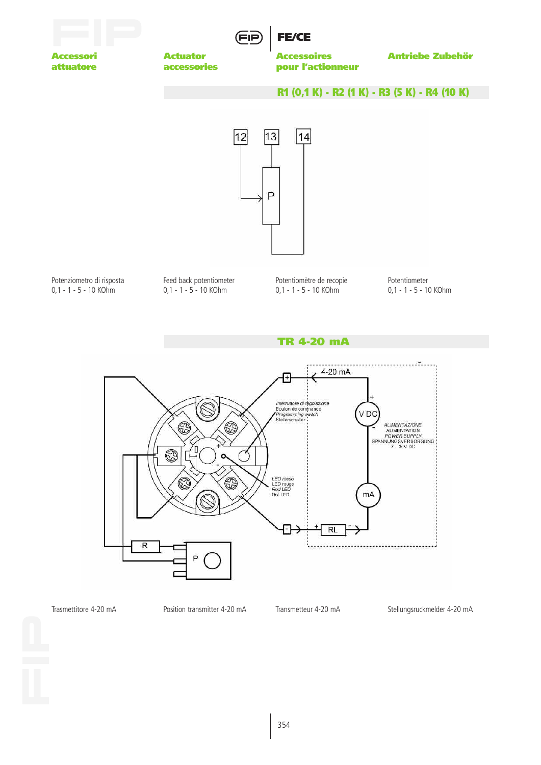



**Accessori attuatore**

**Actuator accessories** **Accessoires pour l'actionneur**

**FE/CE**

**Antriebe Zubehör**

**R1 (0,1 K) - R2 (1 K) - R3 (5 K) - R4 (10 K)**



Potenziometro di risposta 0,1 - 1 - 5 - 10 KOhm

Feed back potentiometer 0,1 - 1 - 5 - 10 KOhm

Potentiomètre de recopie 0,1 - 1 - 5 - 10 KOhm

Potentiometer 0,1 - 1 - 5 - 10 KOhm

## **TR 4-20 mA**



Trasmettitore 4-20 mA Position transmitter 4-20 mA Transmetteur 4-20 mA Stellungsruckmelder 4-20 mA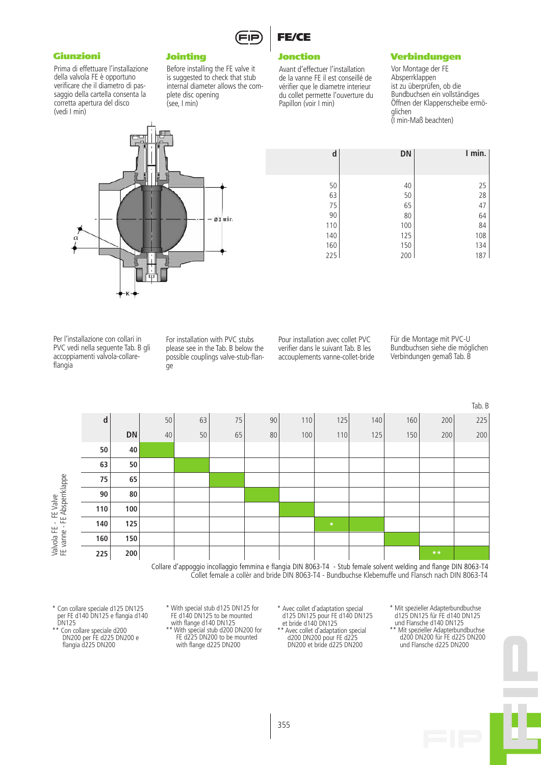



Prima di effettuare l'installazione della valvola FE è opportuno verificare che il diametro di passaggio della cartella consenta la corretta apertura del disco (vedi I min)

Before installing the FE valve it is suggested to check that stub internal diameter allows the complete disc opening (see, I min)



**d**

### **Giunzioni Jointing Jonction Verbindungen**

**DN** 

Vor Montage der FE Absperrklappen ist zu überprüfen, ob die Bundbuchsen ein vollständiges Öffnen der Klappenscheibe ermöglichen (I min-Maß beachten)

**I min.**

ØImin

Per l'installazione con collari in PVC vedi nella seguente Tab. B gli accoppiamenti valvola-collareflangia

For installation with PVC stubs please see in the Tab. B below the possible couplings valve-stub-flange

Pour installation avec collet PVC verifier dans le suivant Tab. B les accouplements vanne-collet-bride

Für die Montage mit PVC-U Bundbuchsen siehe die möglichen Verbindungen gemaß Tab. B



Collare d'appoggio incollaggio femmina e flangia DIN 8063-T4 - Stub female solvent welding and flange DIN 8063-T4 Collet female a collèr and bride DIN 8063-T4 - Bundbuchse Klebemuffe und Flansch nach DIN 8063-T4

\* Con collare speciale d125 DN125 per FE d140 DN125 e flangia d140 **DN125** 

- \*\* Con collare speciale d200 DN200 per FE d225 DN200 e flangia d225 DN200
- \* With special stub d125 DN125 for FE d140 DN125 to be mounted with flange d140 DN125
- With special stub d200 DN200 for FE d225 DN200 to be mounted with flange d225 DN200
- \* Avec collet d'adaptation special d125 DN125 pour FE d140 DN125 et bride d140 DN125
- \*\* Avec collet d'adaptation special d200 DN200 pour FE d225 DN200 et bride d225 DN200
- \* Mit spezieller Adapterbundbuchse d125 DN125 für FE d140 DN125 und Flansche d140 DN125 \*\* Mit spezieller Adapterbundbuchse
- d200 DN200 für FE d225 DN200 und Flansche d225 DN200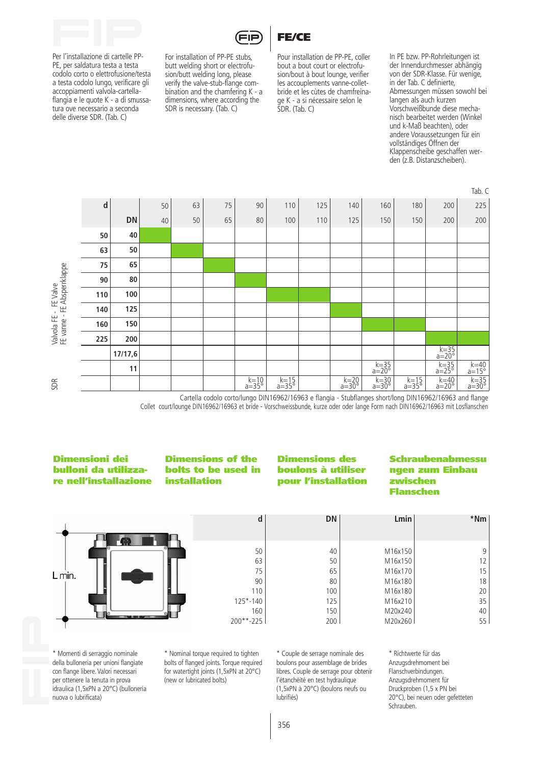

Per l'installazione di cartelle PP-PE, per saldatura testa a testa codolo corto o elettrofusione/testa a testa codolo lungo, verificare gli accoppiamenti valvola-cartellaflangia e le quote K - a di smussatura ove necessario a seconda delle diverse SDR. (Tab. C)



For installation of PP-PE stubs, butt welding short or electrofusion/butt welding long, please verify the valve-stub-flange combination and the chamfering K - a dimensions, where according the SDR is necessary. (Tab. C) Pour installation de PP-PE, coller bout a bout court or electrofusion/bout à bout lounge, verifier les accouplements vanne-colletbride et les cùtes de chamfreinage K - a si nécessaire selon le SDR. (Tab. C)

In PE bzw. PP-Rohrleitungen ist der Innendurchmesser abhängig von der SDR-Klasse. Für wenige, in der Tab. C definierte, Abmessungen müssen sowohl bei langen als auch kurzen Vorschweißbunde diese mechanisch bearbeitet werden (Winkel und k-Maß beachten), oder andere Voraussetzungen für ein vollständiges Öffnen der Klappenscheibe geschaffen werden (z.B. Distanzscheiben).



Valvola FE - FE Valve<br>FE vanne - FE Absperrklappe Valvola FE - FE Valve

SDR

Cartella codolo corto/lungo DIN16962/16963 e flangia - Stubflanges short/long DIN16962/16963 and flange Collet court/lounge DIN16962/16963 et bride - Vorschweissbunde, kurze oder oder lange Form nach DIN16962/16963 mit Losflanschen

**Dimensioni dei bulloni da utilizzare nell'installazione**

**Dimensions of the bolts to be used in installation**

## **Dimensions des boulons à utiliser pour l'installation**

#### **Schraubenabmessu ngen zum Einbau zwischen Flanschen**



\* Momenti di serraggio nominale della bulloneria per unioni flangiate con flange libere. Valori necessari per ottenere la tenuta in prova idraulica (1,5xPN a 20°C) (bulloneria nuova o lubrificata)

\* Nominal torque required to tighten bolts of flanged joints. Torque required for watertight joints (1,5xPN at 20°C) (new or lubricated bolts)

\* Couple de serrage nominale des boulons pour assemblage de brides libres. Couple de serrage pour obtenir l'étanchéité en test hydraulique (1,5xPN à 20°C) (boulons neufs ou lubrifiés)

\* Richtwerte für das Anzugsdrehmoment bei Flanschverbindungen. Anzugsdrehmoment für Druckproben (1,5 x PN bei 20°C), bei neuen oder gefetteten Schrauben.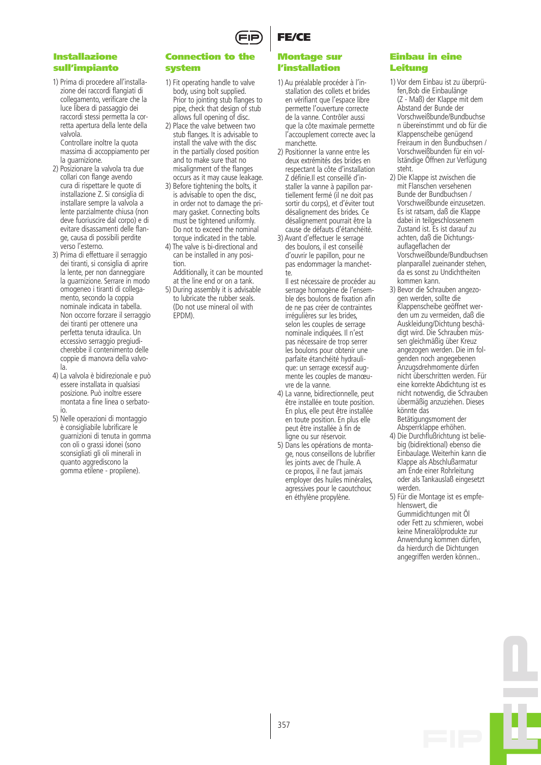#### **Installazione sull'impianto**

1) Prima di procedere all'installazione dei raccordi flangiati di collegamento, verificare che la luce libera di passaggio dei raccordi stessi permetta la corretta apertura della lente della valvola.

Controllare inoltre la quota massima di accoppiamento per la guarnizione.

- 2) Posizionare la valvola tra due collari con flange avendo cura di rispettare le quote di installazione Z. Si consiglia di installare sempre la valvola a lente parzialmente chiusa (non deve fuoriuscire dal corpo) e di evitare disassamenti delle flange, causa di possibili perdite verso l'esterno.
- 3) Prima di effettuare il serraggio dei tiranti, si consiglia di aprire la lente, per non danneggiare la guarnizione. Serrare in modo omogeneo i tiranti di collegamento, secondo la coppia nominale indicata in tabella. Non occorre forzare il serraggio dei tiranti per ottenere una perfetta tenuta idraulica. Un eccessivo serraggio pregiudicherebbe il contenimento delle coppie di manovra della valvola.
- 4) La valvola è bidirezionale e può essere installata in qualsiasi posizione. Può inoltre essere montata a fine linea o serbatoio.
- 5) Nelle operazioni di montaggio è consigliabile lubrificare le guarnizioni di tenuta in gomma con oli o grassi idonei (sono sconsigliati gli oli minerali in quanto aggrediscono la gomma etilene - propilene).

## **Connection to the system**

- 1) Fit operating handle to valve body, using bolt supplied. Prior to jointing stub flanges to pipe, check that design of stub allows full opening of disc.
- 2) Place the valve between two stub flanges. It is advisable to install the valve with the disc in the partially closed position and to make sure that no misalignment of the flanges occurs as it may cause leakage.
- 3) Before tightening the bolts, it is advisable to open the disc, in order not to damage the primary gasket. Connecting bolts must be tightened uniformly. Do not to exceed the nominal torque indicated in the table.
- 4) The valve is bi-directional and can be installed in any position.

Additionally, it can be mounted at the line end or on a tank.

5) During assembly it is advisable to lubricate the rubber seals. (Do not use mineral oil with EPDM).

# **FE/CE**

### **Montage sur l'installation**

- 1) Au préalable procéder à l'installation des collets et brides en vérifiant que l'espace libre permette l'ouverture correcte de la vanne. Contrôler aussi que la côte maximale permette l'accouplement correcte avec la manchette.
- 2) Positionner la vanne entre les deux extrémités des brides en respectant la côte d'installation Z définie.Il est conseillé d'installer la vanne à papillon partiellement fermé (il ne doit pas sortir du corps), et d'éviter tout désalignement des brides. Ce désalignement pourrait être la cause de défauts d'étanchéité.
- 3) Avant d'effectuer le serrage des boulons, il est conseillé d'ouvrir le papillon, pour ne pas endommager la manchette.

Il est nécessaire de procéder au serrage homogène de l'ensemble des boulons de fixation afin de ne pas créer de contraintes irrégulières sur les brides, selon les couples de serrage nominale indiquées. Il n'est pas nécessaire de trop serrer les boulons pour obtenir une parfaite étanchéité hydraulique: un serrage excessif augmente les couples de manœuvre de la vanne.

- 4) La vanne, bidirectionnelle, peut être installée en toute position. En plus, elle peut être installée en toute position. En plus elle peut être installée à fin de ligne ou sur réservoir.
- 5) Dans les opérations de montage, nous conseillons de lubrifier les joints avec de l'huile. A ce propos, il ne faut jamais employer des huiles minérales, agressives pour le caoutchouc en éthylène propylène.

## **Einbau in eine Leitung**

- 1) Vor dem Einbau ist zu überprüfen,Bob die Einbaulänge (Z - Maß) der Klappe mit dem Abstand der Bunde der Vorschweißbunde/Bundbuchse n übereinstimmt und ob für die Klappenscheibe genügend Freiraum in den Bundbuchsen / Vorschweißbunden für ein vollständige Öffnen zur Verfügung steht.
- 2) Die Klappe ist zwischen die mit Flanschen versehenen Bunde der Bundbuchsen / Vorschweißbunde einzusetzen. Es ist ratsam, daß die Klappe dabei in teilgeschlossenem Zustand ist. Es ist darauf zu achten, daß die Dichtungsauflageflachen der Vorschweißbunde/Bundbuchsen planparallel zueinander stehen, da es sonst zu Undichtheiten kommen kann.
- 3) Bevor die Schrauben angezogen werden, sollte die Klappenscheibe geöffnet werden um zu vermeiden, daß die Auskleidung/Dichtung beschädigt wird. Die Schrauben müssen gleichmäßig über Kreuz angezogen werden. Die im folgenden noch angegebenen Anzugsdrehmomente dürfen nicht überschritten werden. Für eine korrekte Abdichtung ist es nicht notwendig, die Schrauben übermäßig anzuziehen. Dieses könnte das

Betätigungsmoment der Absperrklappe erhöhen.

- 4) Die Durchflußrichtung ist beliebig (bidirektional) ebenso die Einbaulage. Weiterhin kann die Klappe als Abschlußarmatur am Ende einer Rohrleitung oder als Tankauslaß eingesetzt werden.
- 5) Für die Montage ist es empfehlenswert, die Gummidichtungen mit Öl oder Fett zu schmieren, wobei keine Mineralölprodukte zur Anwendung kommen dürfen, da hierdurch die Dichtungen angegriffen werden können..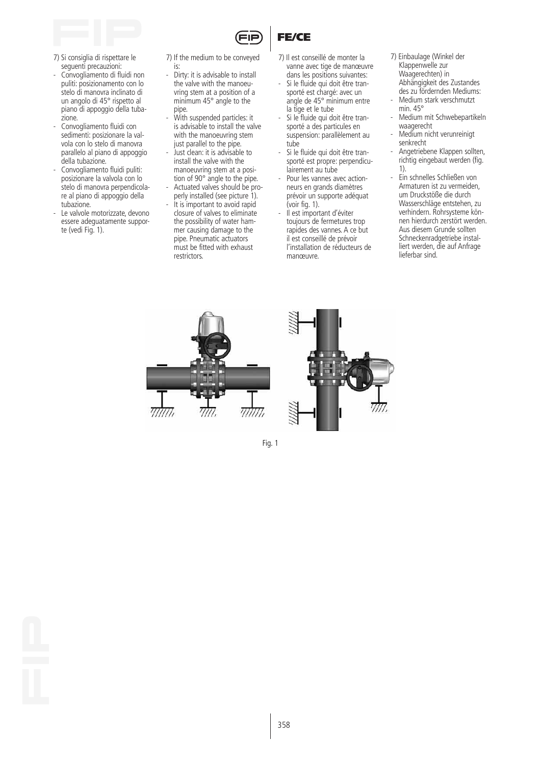

- 7) Si consiglia di rispettare le seguenti precauzioni:
- Convogliamento di fluidi non puliti: posizionamento con lo stelo di manovra inclinato di un angolo di 45° rispetto al piano di appoggio della tubazione.
- Convogliamento fluidi con sedimenti: posizionare la valvola con lo stelo di manovra parallelo al piano di appoggio della tubazione.
- Convogliamento fluidi puliti: posizionare la valvola con lo stelo di manovra perpendicolare al piano di appoggio della tubazione.
- Le valvole motorizzate, devono essere adeguatamente supporte (vedi Fig. 1).

is:

pipe.

restrictors.

- Dirty: it is advisable to install the valve with the manoeuvring stem at a position of a minimum 45° angle to the

- With suspended particles: it is advisable to install the valve with the manoeuvring stem just parallel to the pipe. Just clean: it is advisable to install the valve with the manoeuvring stem at a position of 90° angle to the pipe. Actuated valves should be properly installed (see picture 1). It is important to avoid rapid closure of valves to eliminate the possibility of water hammer causing damage to the pipe. Pneumatic actuators must be fitted with exhaust

7) If the medium to be conveyed 7) Il est conseillé de monter la vanne avec tige de manœuvre

**FE/CE**

- dans les positions suivantes: Si le fluide qui doit être transporté est chargé: avec un angle de 45° minimum entre la tige et le tube
- Si le fluide qui doit être transporté a des particules en suspension: parallèlement au tube
- Si le fluide qui doit être transporté est propre: perpendiculairement au tube
- Pour les vannes avec actionneurs en grands diamètres prévoir un supporte adéquat (voir fig. 1).
- Il est important d'éviter toujours de fermetures trop rapides des vannes. A ce but il est conseillé de prévoir l'installation de réducteurs de manœuvre.
- 7) Einbaulage (Winkel der Klappenwelle zur Waagerechten) in Abhängigkeit des Zustandes des zu fördernden Mediums: Medium stark verschmutzt
- min. 45°
- Medium mit Schwebepartikeln waagerecht
- Medium nicht verunreinigt senkrecht
- Angetriebene Klappen sollten, richtig eingebaut werden (fig. 1).
- Ein schnelles Schließen von Armaturen ist zu vermeiden, um Druckstöße die durch Wasserschläge entstehen, zu verhindern. Rohrsysteme können hierdurch zerstört werden. Aus diesem Grunde sollten Schneckenradgetriebe installiert werden, die auf Anfrage lieferbar sind.



Fig. 1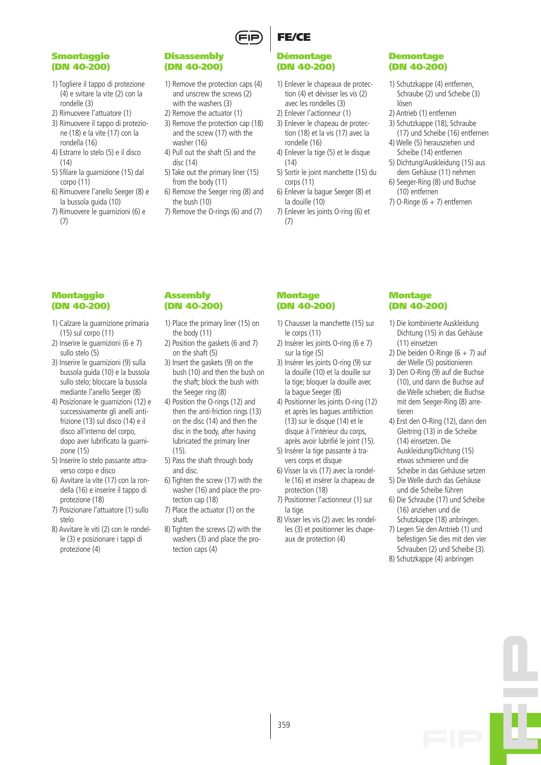#### **Smontaggio (DN 40-200)**

- 1) Togliere il tappo di protezione (4) e svitare la vite (2) con la rondelle (3)
- 2) Rimuovere l'attuatore (1)
- 3) Rimuovere il tappo di protezione (18) e la vite (17) con la rondella (16)
- 4) Estrarre lo stelo (5) e il disco (14)
- 5) Sfilare la guarnizione (15) dal corpo (11)
- 6) Rimuovere l'anello Seeger (8) e la bussola guida (10)
- 7) Rimuovere le guarnizioni (6) e (7)

## **Disassembly (DN 40-200)**

- 1) Remove the protection caps (4) and unscrew the screws (2) with the washers (3)
- 2) Remove the actuator (1)
- 3) Remove the protection cap (18) and the screw (17) with the washer (16)
- 4) Pull out the shaft (5) and the disc (14)
- 5) Take out the primary liner (15) from the body (11)
- 6) Remove the Seeger ring (8) and the bush (10)
- 7) Remove the O-rings (6) and (7)

# **FE/CE**

## **Démontage (DN 40-200)**

- 1) Enlever le chapeaux de protection (4) et dévisser les vis (2) avec les rondelles (3)
- 2) Enlever l'actionneur (1)
- 3) Enlever le chapeau de protection (18) et la vis (17) avec la rondelle (16)
- 4) Enlever la tige (5) et le disque (14)
- 5) Sortir le joint manchette (15) du corps (11)
- 6) Enlever la bague Seeger (8) et la douille (10)
- 7) Enlever les joints O-ring (6) et (7)

## **Demontage (DN 40-200)**

- 1) Schutzkappe (4) entfernen, Schraube (2) und Scheibe (3) lösen
- 2) Antrieb (1) entfernen
- 3) Schutzkappe (18), Schraube (17) und Scheibe (16) entfernen
- 4) Welle (5) herausziehen und Scheibe (14) entfernen
- 5) Dichtung/Auskleidung (15) aus dem Gehäuse (11) nehmen
- 6) Seeger-Ring (8) und Buchse (10) entfernen
- 7) O-Ringe  $(6 + 7)$  entfernen

## **Montaggio (DN 40-200)**

- 1) Calzare la guarnizione primaria (15) sul corpo (11)
- 2) Inserire le guarnizioni (6 e 7) sullo stelo (5)
- 3) Inserire le guarnizioni (9) sulla bussola guida (10) e la bussola sullo stelo; bloccare la bussola mediante l'anello Seeger (8)
- 4) Posizionare le guarnizioni (12) e successivamente gli anelli antifrizione (13) sul disco (14) e il disco all'interno del corpo, dopo aver lubrificato la guarnizione (15)
- 5) Inserire lo stelo passante attraverso corpo e disco
- 6) Avvitare la vite (17) con la rondella (16) e inserire il tappo di protezione (18)
- 7) Posizionare l'attuatore (1) sullo stelo
- 8) Avvitare le viti (2) con le rondelle (3) e posizionare i tappi di protezione (4)

## **Assembly (DN 40-200)**

- 1) Place the primary liner (15) on the body (11)
- 2) Position the gaskets (6 and 7) on the shaft (5)

3) Insert the gaskets (9) on the bush (10) and then the bush on the shaft; block the bush with the Seeger ring (8)

- 4) Position the O-rings (12) and then the anti-friction rings (13) on the disc (14) and then the disc in the body, after having lubricated the primary liner  $(15)$
- 5) Pass the shaft through body and disc.
- 6) Tighten the screw (17) with the washer (16) and place the protection cap (18)
- 7) Place the actuator (1) on the shaft.
- 8) Tighten the screws (2) with the washers (3) and place the protection caps (4)

## **Montage (DN 40-200)**

- 1) Chausser la manchette (15) sur le corps (11)
- 2) Insérer les joints O-ring (6 e 7) sur la tige (5)
- 3) Insérer les joints O-ring (9) sur la douille (10) et la douille sur la tige; bloquer la douille avec la bague Seeger (8)
- 4) Positionner les joints O-ring (12) et après les bagues antifriction (13) sur le disque (14) et le disque à l'intérieur du corps, après avoir lubrifié le joint (15).
- 5) Insérer la tige passante à travers corps et disque
- 6) Visser la vis (17) avec la rondelle (16) et insérer la chapeau de protection (18)
- 7) Positionner l'actionneur (1) sur la tige.
- 8) Visser les vis (2) avec les rondelles (3) et positionner les chapeaux de protection (4)

## **Montage (DN 40-200)**

- 1) Die kombinierte Auskleidung Dichtung (15) in das Gehäuse (11) einsetzen
- 2) Die beiden O-Ringe  $(6 + 7)$  auf der Welle (5) positionieren
- 3) Den O-Ring (9) auf die Buchse (10), und dann die Buchse auf die Welle schieben; die Buchse mit dem Seeger-Ring (8) arretieren
- 4) Erst den O-Ring (12), dann den Gleitring (13) in die Scheibe (14) einsetzen. Die Auskleidung/Dichtung (15) etwas schmieren und die Scheibe in das Gehäuse setzen
- 5) Die Welle durch das Gehäuse und die Scheibe führen
- 6) Die Schraube (17) und Scheibe (16) anziehen und die Schutzkappe (18) anbringen.
- 7) Legen Sie den Antrieb (1) und befestigen Sie dies mit den vier Schrauben (2) und Scheibe (3).
- 8) Schutzkappe (4) anbringen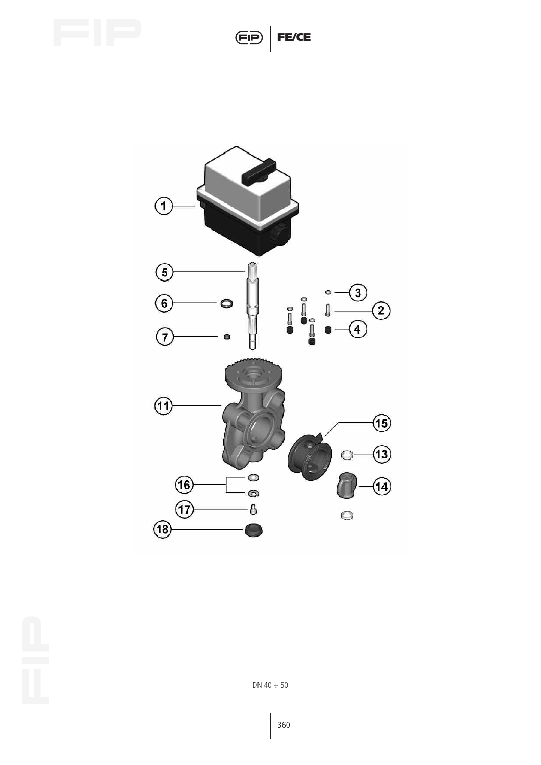





 $DN 40 \div 50$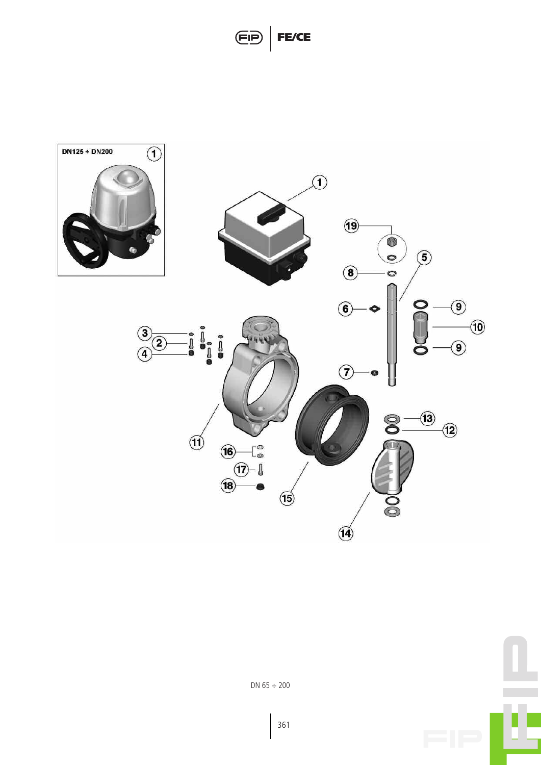



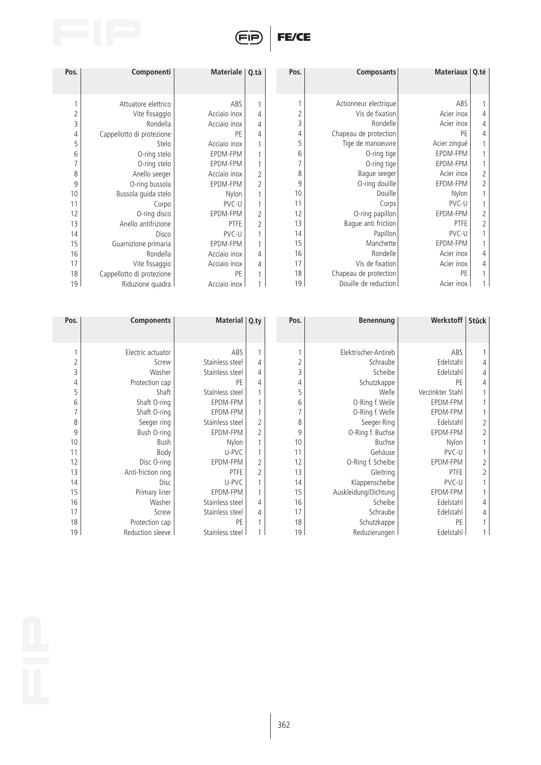



| Pos.           | Componenti                | <b>Materiale</b> | Q.tà           | Pos.           | <b>Composants</b>     | Materiaux Q.té |   |
|----------------|---------------------------|------------------|----------------|----------------|-----------------------|----------------|---|
|                |                           |                  |                |                |                       |                |   |
|                | Attuatore elettrico       | ABS              |                |                | Actionneur electrique | ABS            |   |
| 2              | Vite fissaggio            | Acciaio inox     | 4              | $\overline{c}$ | Vis de fixation       | Acier inox     |   |
| 3              | Rondella                  | Acciaio inox     | 4              | 3              | Rondelle              | Acier inox     | 4 |
| 4              | Cappellotto di protezione | PE               | 4              | 4              | Chapeau de protection | PE             | 4 |
| 5              | Stelo                     | Acciaio inox     |                | 5              | Tige de manoeuvre     | Acier zingué   |   |
| 6              | O-ring stelo              | EPDM-FPM         |                | 6              | O-ring tige           | EPDM-FPM       |   |
| $\overline{7}$ | O-ring stelo              | EPDM-FPM         |                | 7              | O-ring tige           | EPDM-FPM       |   |
| 8              | Anello seeger             | Acciaio inox     |                | 8              | Baque seeger          | Acier inox     |   |
| 9              | O-ring bussola            | EPDM-FPM         | $\overline{2}$ | 9              | O-ring douille        | EPDM-FPM       | 2 |
| 10             | Bussola quida stelo       | Nylon            |                | 10             | Douille               | Nylon          |   |
| 11             | Corpo                     | PVC-U            |                | 11             | Corps                 | PVC-U          |   |
| 12             | O-ring disco              | EPDM-FPM         | $\overline{2}$ | 12             | O-ring papillon       | EPDM-FPM       | 2 |
| 13             | Anello antifrizione       | <b>PTFE</b>      | 2              | 13             | Baque anti friction   | PTFE           |   |
| 14             | Disco                     | PVC-U            |                | 14             | Papillon              | PVC-U          |   |
| 15             | Guarnizione primaria      | EPDM-FPM         |                | 15             | Manchette             | EPDM-FPM       |   |
| 16             | Rondella                  | Acciaio inox     | 4              | 16             | Rondelle              | Acier inox     | 4 |
| 17             | Vite fissaggio            | Acciaio inox     | 4              | 17             | Vis de fixation       | Acier inox     | 4 |
| 18             | Cappellotto di protezione | PE               |                | 18             | Chapeau de protection | PE             |   |
| 19             | Riduzione quadra          | Acciaio inox     |                | 19             | Douille de reduction  | Acier inox     |   |

| Pos. | <b>Components</b>  | Material   Q.ty |   | Pos. | <b>Benennung</b>     | Werkstoff        | <b>Stûck</b> |
|------|--------------------|-----------------|---|------|----------------------|------------------|--------------|
|      |                    |                 |   |      |                      |                  |              |
|      | Electric actuator  | ABS             |   |      | Elektrischer-Antireb | ABS              |              |
| 2    | Screw              | Stainless steel | 4 | 2    | Schraube             | Edelstahl        | 4            |
| 3    | Washer             | Stainless steel | 4 | 3    | Scheibe              | Edelstahl        | 4            |
| 4    | Protection cap     | PE              | 4 | 4    | Schutzkappe          | PE               | 4            |
| 5    | Shaft              | Stainless steel |   | 5    | Welle                | Verzinkter Stahl |              |
| 6    | Shaft O-ring       | EPDM-FPM        |   | 6    | O-Ring f. Welle      | EPDM-FPM         |              |
|      | Shaft O-ring       | EPDM-FPM        |   | 7    | O-Ring f. Welle      | EPDM-FPM         |              |
| 8    | Seeger ring        | Stainless steel | 2 | 8    | Seeger-Ring          | Edelstahl        |              |
| 9    | Bush O-ring        | EPDM-FPM        |   | 9    | O-Ring f. Buchse     | EPDM-FPM         |              |
| 10   | Bush               | Nylon           |   | 10   | <b>Buchse</b>        | Nylon            |              |
| 11   | Body               | U-PVC           |   | 11   | Gehäuse              | PVC-U            |              |
| 12   | Disc O-ring        | EPDM-FPM        |   | 12   | O-Ring f. Scheibe    | EPDM-FPM         |              |
| 13   | Anti-friction ring | PTFE            | 2 | 13   | Gleitring            | PTFE             |              |
| 14   | <b>Disc</b>        | U-PVC           |   | 14   | Klappenscheibe       | PVC-U            |              |
| 15   | Primary liner      | EPDM-FPM        |   | 15   | Auskleidung/Dichtung | EPDM-FPM         |              |
| 16   | Washer             | Stainless steel | 4 | 16   | Scheibe              | Edelstahl        |              |
| 17   | Screw              | Stainless steel | 4 | 17   | Schraube             | Edelstahl        |              |
| 18   | Protection cap     | PE              |   | 18   | Schutzkappe          | PE               |              |
| 19   | Reduction sleeve   | Stainless steel |   | 19   | Reduzierungen        | Edelstahl        |              |